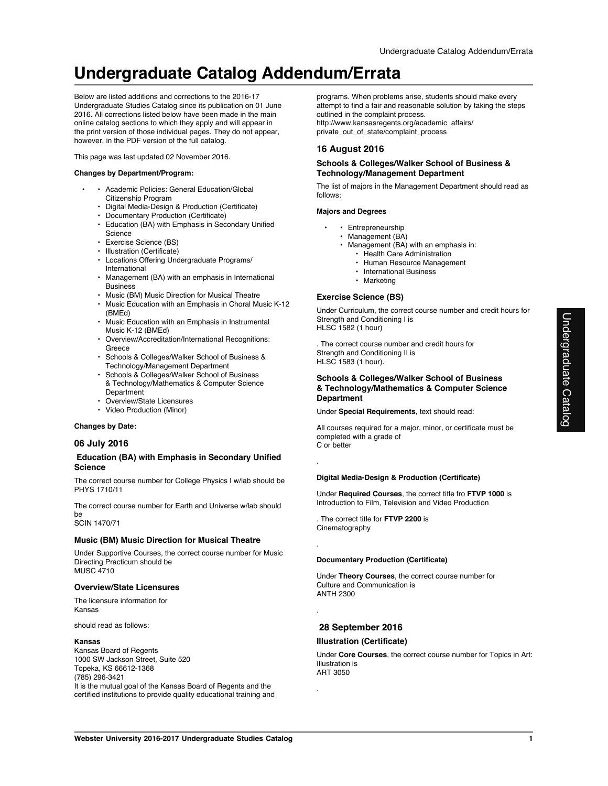# **Undergraduate Catalog Addendum/Errata**

Below are listed additions and corrections to the 2016-17 Undergraduate Studies Catalog since its publication on 01 June 2016. All corrections listed below have been made in the main online catalog sections to which they apply and will appear in the print version of those individual pages. They do not appear, however, in the PDF version of the full catalog.

This page was last updated 02 November 2016.

### **Changes by Department/Program:**

- • Academic Policies: General Education/Global Citizenship Program
- Digital Media-Design & Production (Certificate)
- Documentary Production (Certificate)
- Education (BA) with Emphasis in Secondary Unified **Science**
- Exercise Science (BS)
- Illustration (Certificate)
- Locations Offering Undergraduate Programs/ International
- Management (BA) with an emphasis in International Business
- Music (BM) Music Direction for Musical Theatre
- Music Education with an Emphasis in Choral Music K-12 (BMEd)
- Music Education with an Emphasis in Instrumental Music K-12 (BMEd)
- Overview/Accreditation/International Recognitions: Greece
- Schools & Colleges/Walker School of Business & Technology/Management Department
- Schools & Colleges/Walker School of Business & Technology/Mathematics & Computer Science Department
- Overview/State Licensures
- Video Production (Minor)

**Changes by Date:**

### **06 July 2016**

### **Education (BA) with Emphasis in Secondary Unified Science**

The correct course number for College Physics I w/lab should be PHYS 1710/11

The correct course number for Earth and Universe w/lab should be

SCIN 1470/71

## **Music (BM) Music Direction for Musical Theatre**

Under Supportive Courses, the correct course number for Music Directing Practicum should be MUSC 4710

### **Overview/State Licensures**

The licensure information for Kansas

should read as follows:

### **Kansas**

Kansas Board of Regents 1000 SW Jackson Street, Suite 520 Topeka, KS 66612-1368 (785) 296-3421 It is the mutual goal of the Kansas Board of Regents and the certified institutions to provide quality educational training and programs. When problems arise, students should make every attempt to find a fair and reasonable solution by taking the steps outlined in the complaint process. http://www.kansasregents.org/academic\_affairs/ private\_out\_of\_state/complaint\_process

## **16 August 2016**

### **Schools & Colleges/Walker School of Business & Technology/Management Department**

The list of majors in the Management Department should read as follows:

### **Majors and Degrees**

- Entrepreneurship
- Management (BA)
- Management (BA) with an emphasis in: • Health Care Administration
	- Human Resource Management
	- International Business
	- Marketing

### **Exercise Science (BS)**

Under Curriculum, the correct course number and credit hours for Strength and Conditioning I is HLSC 1582 (1 hour)

. The correct course number and credit hours for Strength and Conditioning II is HLSC 1583 (1 hour).

### **Schools & Colleges/Walker School of Business & Technology/Mathematics & Computer Science Department**

Under **Special Requirements**, text should read:

All courses required for a major, minor, or certificate must be completed with a grade of C or better

### **Digital Media-Design & Production (Certificate)**

Under **Required Courses**, the correct title fro **FTVP 1000** is Introduction to Film, Television and Video Production

. The correct title for **FTVP 2200** is Cinematography

.

.

.

.

### **Documentary Production (Certificate)**

Under **Theory Courses**, the correct course number for Culture and Communication is ANTH 2300

## **28 September 2016**

### **Illustration (Certificate)**

Under **Core Courses**, the correct course number for Topics in Art: Illustration is ART 3050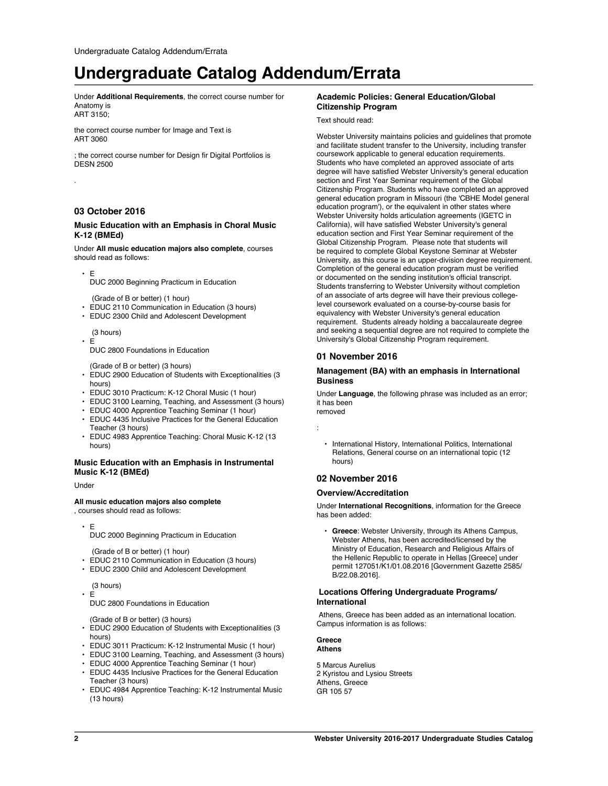## **Undergraduate Catalog Addendum/Errata**

Under **Additional Requirements**, the correct course number for Anatomy is ART 3150;

the correct course number for Image and Text is

ART 3060

; the correct course number for Design fir Digital Portfolios is DESN 2500

## **03 October 2016**

### **Music Education with an Emphasis in Choral Music K-12 (BMEd)**

Under **All music education majors also complete**, courses should read as follows:

• E

.

DUC 2000 Beginning Practicum in Education

(Grade of B or better) (1 hour)

- EDUC 2110 Communication in Education (3 hours)
- EDUC 2300 Child and Adolescent Development

 (3 hours) • E

DUC 2800 Foundations in Education

(Grade of B or better) (3 hours)

- EDUC 2900 Education of Students with Exceptionalities (3 hours)
- EDUC 3010 Practicum: K-12 Choral Music (1 hour)
- EDUC 3100 Learning, Teaching, and Assessment (3 hours)
- EDUC 4000 Apprentice Teaching Seminar (1 hour)
- EDUC 4435 Inclusive Practices for the General Education Teacher (3 hours)
- EDUC 4983 Apprentice Teaching: Choral Music K-12 (13 hours)

### **Music Education with an Emphasis in Instrumental Music K-12 (BMEd)**

Under

### **All music education majors also complete**

, courses should read as follows:

• E

DUC 2000 Beginning Practicum in Education

(Grade of B or better) (1 hour)

- EDUC 2110 Communication in Education (3 hours)
- EDUC 2300 Child and Adolescent Development

(3 hours)

• E

DUC 2800 Foundations in Education

(Grade of B or better) (3 hours)

- EDUC 2900 Education of Students with Exceptionalities (3 hours)
- EDUC 3011 Practicum: K-12 Instrumental Music (1 hour)
- EDUC 3100 Learning, Teaching, and Assessment (3 hours)
- EDUC 4000 Apprentice Teaching Seminar (1 hour)
- EDUC 4435 Inclusive Practices for the General Education Teacher (3 hours)
- EDUC 4984 Apprentice Teaching: K-12 Instrumental Music (13 hours)

## **Academic Policies: General Education/Global Citizenship Program**

### Text should read:

Webster University maintains policies and guidelines that promote and facilitate student transfer to the University, including transfer coursework applicable to general education requirements. Students who have completed an approved associate of arts degree will have satisfied Webster University's general education section and First Year Seminar requirement of the Global Citizenship Program. Students who have completed an approved general education program in Missouri (the 'CBHE Model general education program'), or the equivalent in other states where Webster University holds articulation agreements (IGETC in California), will have satisfied Webster University's general education section and First Year Seminar requirement of the Global Citizenship Program. Please note that students will be required to complete Global Keystone Seminar at Webster University, as this course is an upper-division degree requirement. Completion of the general education program must be verified or documented on the sending institution's official transcript. Students transferring to Webster University without completion of an associate of arts degree will have their previous collegelevel coursework evaluated on a course-by-course basis for equivalency with Webster University's general education requirement. Students already holding a baccalaureate degree and seeking a sequential degree are not required to complete the University's Global Citizenship Program requirement.

### **01 November 2016**

### **Management (BA) with an emphasis in International Business**

Under **Language**, the following phrase was included as an error; it has been removed

:

• International History, International Politics, International Relations, General course on an international topic (12 hours)

### **02 November 2016**

### **Overview/Accreditation**

Under **International Recognitions**, information for the Greece has been added:

• **Greece**: Webster University, through its Athens Campus, Webster Athens, has been accredited/licensed by the Ministry of Education, Research and Religious Affairs of the Hellenic Republic to operate in Hellas [Greece] under permit 127051/K1/01.08.2016 [Government Gazette 2585/ B/22.08.2016].

### **Locations Offering Undergraduate Programs/ International**

 Athens, Greece has been added as an international location. Campus information is as follows:

**Greece**

**Athens**

5 Marcus Aurelius 2 Kyristou and Lysiou Streets Athens, Greece GR 105 57